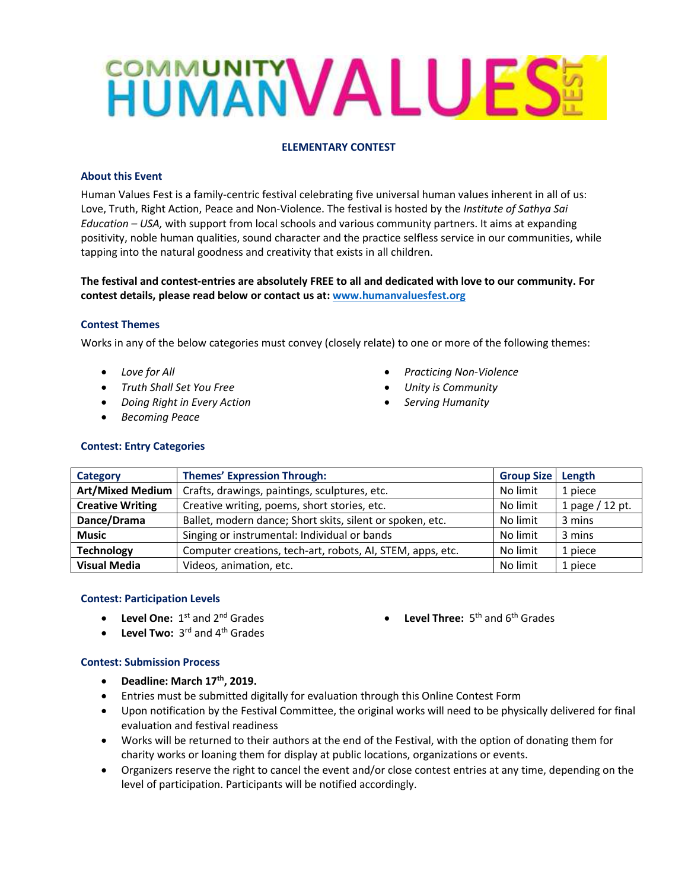# **HUMANVALUES!**

## **ELEMENTARY CONTEST**

### **About this Event**

Human Values Fest is a family-centric festival celebrating five universal human values inherent in all of us: Love, Truth, Right Action, Peace and Non-Violence. The festival is hosted by the *Institute of Sathya Sai Education – USA,* with support from local schools and various community partners. It aims at expanding positivity, noble human qualities, sound character and the practice selfless service in our communities, while tapping into the natural goodness and creativity that exists in all children.

**The festival and contest-entries are absolutely FREE to all and dedicated with love to our community. For contest details, please read below or contact us at: [www.humanvaluesfest.org](http://www.humanvaluesfest.org/)**

### **Contest Themes**

Works in any of the below categories must convey (closely relate) to one or more of the following themes:

- *Love for All*
- *Truth Shall Set You Free*
- *Doing Right in Every Action*
- *Becoming Peace*
- *Practicing Non-Violence*
- *Unity is Community*
- *Serving Humanity*

| <b>Contest: Entry Categories</b> |  |
|----------------------------------|--|
|----------------------------------|--|

| Category                | <b>Themes' Expression Through:</b>                         | <b>Group Size</b> | Length          |
|-------------------------|------------------------------------------------------------|-------------------|-----------------|
| <b>Art/Mixed Medium</b> | Crafts, drawings, paintings, sculptures, etc.              | No limit          | 1 piece         |
| <b>Creative Writing</b> | Creative writing, poems, short stories, etc.               | No limit          | 1 page / 12 pt. |
| Dance/Drama             | Ballet, modern dance; Short skits, silent or spoken, etc.  | No limit          | 3 mins          |
| <b>Music</b>            | Singing or instrumental: Individual or bands               | No limit          | 3 mins          |
| <b>Technology</b>       | Computer creations, tech-art, robots, AI, STEM, apps, etc. | No limit          | 1 piece         |
| <b>Visual Media</b>     | Videos, animation, etc.                                    | No limit          | 1 piece         |

### **Contest: Participation Levels**

• Level One: 1<sup>st</sup> and 2<sup>nd</sup> Grades

• Level Three: 5<sup>th</sup> and 6<sup>th</sup> Grades

• Level Two: 3<sup>rd</sup> and 4<sup>th</sup> Grades

### **Contest: Submission Process**

- **Deadline: March 17th, 2019.**
- Entries must be submitted digitally for evaluation through this Online Contest Form
- Upon notification by the Festival Committee, the original works will need to be physically delivered for final evaluation and festival readiness
- Works will be returned to their authors at the end of the Festival, with the option of donating them for charity works or loaning them for display at public locations, organizations or events.
- Organizers reserve the right to cancel the event and/or close contest entries at any time, depending on the level of participation. Participants will be notified accordingly.